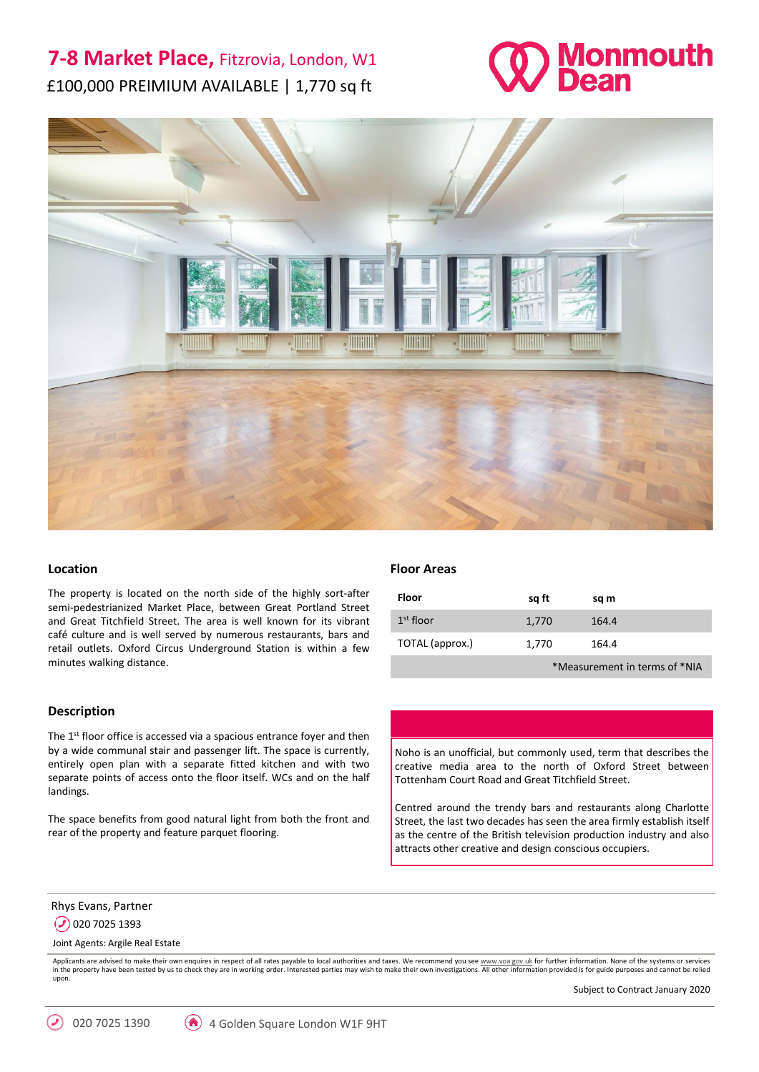# **7-8 Market Place,** Fitzrovia, London, W1 £100,000 PREIMIUM AVAILABLE | 1,770 sq ft





## **Location**

The property is located on the north side of the highly sort-after semi-pedestrianized Market Place, between Great Portland Street and Great Titchfield Street. The area is well known for its vibrant café culture and is well served by numerous restaurants, bars and retail outlets. Oxford Circus Underground Station is within a few minutes walking distance.

#### **Description**

The 1<sup>st</sup> floor office is accessed via a spacious entrance foyer and then by a wide communal stair and passenger lift. The space is currently, entirely open plan with a separate fitted kitchen and with two separate points of access onto the floor itself. WCs and on the half landings.

The space benefits from good natural light from both the front and rear of the property and feature parquet flooring.

## **Floor Areas**

| <b>Floor</b>    | sq ft | sq m  |  |
|-----------------|-------|-------|--|
| $1st$ floor     | 1,770 | 164.4 |  |
| TOTAL (approx.) | 1,770 | 164.4 |  |
|                 |       |       |  |

\*Measurement in terms of \*NIA

Noho is an unofficial, but commonly used, term that describes the creative media area to the north of Oxford Street between Tottenham Court Road and Great Titchfield Street.

Centred around the trendy bars and restaurants along Charlotte Street, the last two decades has seen the area firmly establish itself as the centre of the British television production industry and also attracts other creative and design conscious occupiers.

Rhys Evans, Partner

 $\odot$  020 7025 1393

Joint Agents: Argile Real Estate

Applicants are advised to make their own enquires in respect of all rates payable to local authorities and taxes. We recommend you see [www.voa.gov.uk](http://www.voa.gov.uk/) for further information. None of the systems or services in the property have been tested by us to check they are in working order. Interested parties may wish to make their own investigations. All other information provided is for guide purposes and cannot be relied upon.